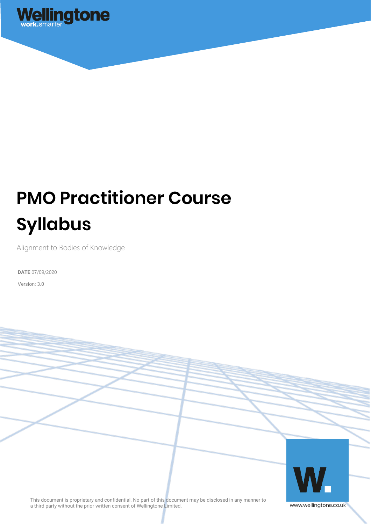

# **PMO Practitioner Course Syllabus**

Alignment to Bodies of Knowledge

**DATE** 07/09/2020

Version: 3.0



This document is proprietary and confidential. No part of this document may be disclosed in any manner to a third party without the prior written consent of Wellingtone Limited.

www.wellingtone.co.uk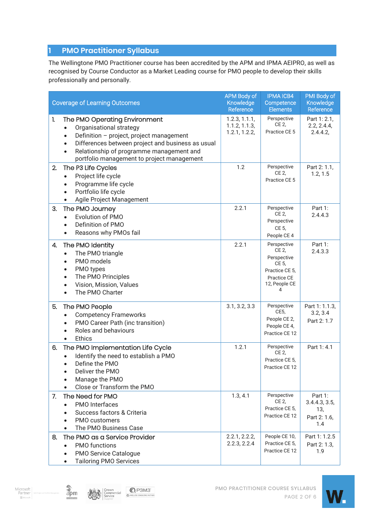# **1 PMO Practitioner Syllabus**

The Wellingtone PMO Practitioner course has been accredited by the APM and IPMA AEIPRO, as well as recognised by Course Conductor as a Market Leading course for PMO people to develop their skills professionally and personally.

| <b>Coverage of Learning Outcomes</b>                                                                                                                                                                                                                      | <b>APM Body of</b><br>Knowledge<br>Reference    | <b>IPMA ICB4</b><br>Competence<br><b>Elements</b>                                                   | PMI Body of<br>Knowledge<br>Reference                  |
|-----------------------------------------------------------------------------------------------------------------------------------------------------------------------------------------------------------------------------------------------------------|-------------------------------------------------|-----------------------------------------------------------------------------------------------------|--------------------------------------------------------|
| 1.<br>The PMO Operating Environment<br>Organisational strategy<br>Definition - project, project management<br>Differences between project and business as usual<br>Relationship of programme management and<br>portfolio management to project management | 1.2.3, 1.1.1,<br>1.1.2, 1.1.3,<br>1.2.1, 1.2.2, | Perspective<br><b>CE 2.</b><br>Practice CE 5                                                        | Part 1: 2.1,<br>2.2, 2.4.4,<br>2.4.4.2,                |
| The P3 Life Cycles<br>2.<br>Project life cycle<br>$\bullet$<br>Programme life cycle<br>Portfolio life cycle<br>Agile Project Management                                                                                                                   | 1.2                                             | Perspective<br>CE 2,<br>Practice CE 5                                                               | Part 2: 1.1,<br>1.2, 1.5                               |
| 3.<br>The PMO Journey<br>Evolution of PMO<br>Definition of PMO<br>Reasons why PMOs fail                                                                                                                                                                   | 2.2.1                                           | Perspective<br>CE 2,<br>Perspective<br>CE 5,<br>People CE 4                                         | Part 1:<br>2.4.4.3                                     |
| The PMO Identity<br>4.<br>The PMO triangle<br>PMO models<br>PMO types<br>The PMO Principles<br>Vision, Mission, Values<br>The PMO Charter                                                                                                                 | 2.2.1                                           | Perspective<br>CE 2,<br>Perspective<br>CE 5,<br>Practice CE 5,<br>Practice CE<br>12, People CE<br>4 | Part 1:<br>2.4.3.3                                     |
| 5.<br>The PMO People<br><b>Competency Frameworks</b><br>PMO Career Path (inc transition)<br>Roles and behaviours<br><b>Ethics</b><br>$\bullet$                                                                                                            | 3.1, 3.2, 3.3                                   | Perspective<br>CE5,<br>People CE 2,<br>People CE 4,<br>Practice CE 12                               | Part 1: 1.1.3,<br>3.2, 3.4<br>Part 2: 1.7              |
| The PMO Implementation Life Cycle<br>6.<br>Identify the need to establish a PMO<br>Define the PMO<br>Deliver the PMO<br>Manage the PMO<br>Close or Transform the PMO                                                                                      | 1.2.1                                           | Perspective<br>CE 2,<br>Practice CE 5,<br>Practice CE 12                                            | Part 1: 4.1                                            |
| The Need for PMO<br>7.<br>PMO Interfaces<br>$\bullet$<br>Success factors & Criteria<br>PMO customers<br>The PMO Business Case                                                                                                                             | 1.3, 4.1                                        | Perspective<br>CE 2,<br>Practice CE 5,<br>Practice CE 12                                            | Part 1:<br>3.4.4.3, 3.5,<br>13,<br>Part 2: 1.6,<br>1.4 |
| 8.<br>The PMO as a Service Provider<br>PMO functions<br>$\bullet$<br>PMO Service Catalogue<br><b>Tailoring PMO Services</b>                                                                                                                               | 2.2.1, 2.2.2,<br>2.2.3, 2.2.4                   | People CE 10,<br>Practice CE 5,<br>Practice CE 12                                                   | Part 1: 1.2.5<br>Part 2: 1.3,<br>1.9                   |







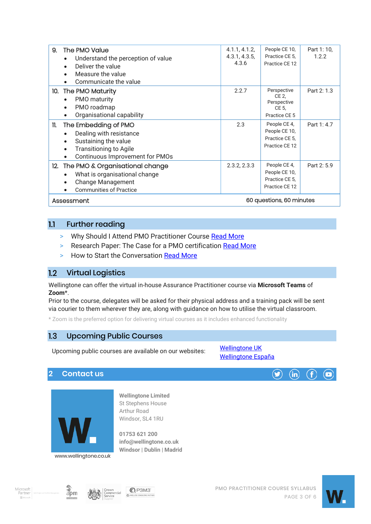| 9.<br>The PMO Value<br>Understand the perception of value<br>$\bullet$<br>Deliver the value<br>$\bullet$<br>Measure the value<br>Communicate the value                                    | 4.1.1, 4.1.2,<br>4.3.1, 4.3.5,<br>4.3.6 | People CE 10,<br>Practice CE 5.<br>Practice CE 12                 | Part 1: 10,<br>1.2.2 |
|-------------------------------------------------------------------------------------------------------------------------------------------------------------------------------------------|-----------------------------------------|-------------------------------------------------------------------|----------------------|
| 10. The PMO Maturity<br>PMO maturity<br>$\bullet$<br>PMO roadmap<br>$\bullet$<br>Organisational capability<br>$\bullet$                                                                   | 2.2.7                                   | Perspective<br>CE 2,<br>Perspective<br>CE 5.<br>Practice CE 5     | Part 2: 1.3          |
| The Embedding of PMO<br>11.<br>Dealing with resistance<br>$\bullet$<br>Sustaining the value<br><b>Transitioning to Agile</b><br>$\bullet$<br>Continuous Improvement for PMOs<br>$\bullet$ | 2.3                                     | People CE 4,<br>People CE 10,<br>Practice CE 5.<br>Practice CE 12 | Part 1: 4.7          |
| 12. The PMO & Organisational change<br>What is organisational change<br><b>Change Management</b><br>$\bullet$<br><b>Communities of Practice</b><br>$\bullet$                              | 2.3.2, 2.3.3                            | People CE 4,<br>People CE 10,<br>Practice CE 5,<br>Practice CE 12 | Part 2: 5.9          |
| Assessment                                                                                                                                                                                | 60 questions, 60 minutes                |                                                                   |                      |

#### $1.1$ Further reading

- > Why Should I Attend PMO Practitioner Course [Read More](https://wellingtone.co.uk/why-attend-pmo-practitioner-course/)
- > Research Paper: The Case for a PMO certification [Read More](https://wellingtone.co.uk/research-paper-case-for-pmo-certification/)
- > How to Start the Conversation [Read More](https://www.futurepmo.com/wellingtone-pmo-practitioner-start-the-conversation/)

# 1.2 Virtual Logistics

Wellingtone can offer the virtual in-house Assurance Practitioner course via **Microsoft Teams** of **Zoom**\*.

Prior to the course, delegates will be asked for their physical address and a training pack will be sent via courier to them wherever they are, along with guidance on how to utilise the virtual classroom.

\* Zoom is the preferred option for delivering virtual courses as it includes enhanced functionality

#### $1.3$ Upcoming Public Courses

Upcoming public courses are available on our websites:

[Wellingtone UK](https://wellingtone.co.uk/public-training-course-dates/) [Wellingtone España](https://wellingtone.es/fechas-de-cursos-de-formacion-publicos/)

# **2 Contact us**



**Wellingtone Limited** St Stephens House Arthur Road Windsor, SL4 1RU

**01753 621 200 [info@wellingtone.co.uk](mailto:info@wellingtone.co.uk) Windsor | Dublin | Madrid**









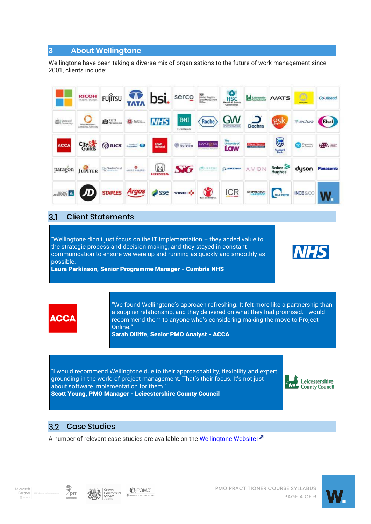# **3 About Wellingtone**

Wellingtone have been taking a diverse mix of organisations to the future of work management since 2001, clients include:

|                      | <b>RICOH</b>                        | <b>FUJITSU</b>      | <b>TATA</b>          | bsi.                  | serco                                                                                  | <b>AS</b><br>United Kingdom<br>Debt Management<br>Office | $rac{Q}{HSC}$<br><b>Health &amp; Safety</b><br>Commission | Leicentersbirg     | <b>NATS</b>           | O<br><b><i><u>Retail plant</u></i></b> | <b>Go-Ahead</b> |
|----------------------|-------------------------------------|---------------------|----------------------|-----------------------|----------------------------------------------------------------------------------------|----------------------------------------------------------|-----------------------------------------------------------|--------------------|-----------------------|----------------------------------------|-----------------|
| <b>Big</b> States of | West Midlands<br>Combined Authority | <b>Read</b> City of | <b>33 mm</b>         | <b>NHS</b>            | <b>BMI</b><br>Healthcare                                                               | Roche                                                    | <b>GW</b><br>phamnacouticals                              | <b>Dechra</b>      | gsk                   | vectura                                | <b>Eisai</b>    |
| <b>ACCA</b>          | City <sup>8</sup>                   | <b>QRICS</b>        |                      | <b>UWE</b><br>Bristol | $\bigcirc$ $\overline{\circ}$ $\overline{\circ}$ $\overline{\circ}$ $\overline{\circ}$ | <b>MANCHESTER</b>                                        | The<br>University of<br>Law                               | <b>First State</b> | U<br>Standard<br>Bank | Domestic                               | FCA             |
|                      | paragon JUPITER                     | Charter Court       | ALLIED EARLESTS      | W<br><b>HONDA</b>     | <b>SKG</b>                                                                             | <b>EN LIZEARLE</b>                                       | <b>Q</b> BOEING                                           | AVON               | Baker <sup>S</sup>    | dyson                                  | Panasonic       |
| ZODIAC Z             | $\sqrt{D}$                          |                     | STAPLES <b>Argos</b> | Sse                   | <b>VINCIP</b>                                                                          | <b>Save the Children</b>                                 | <b>ICR</b>                                                | <b>STEPHENSON</b>  | <b>DLA PIPER</b>      | <b>INCESCO</b>                         |                 |

#### $3.1$ Client Statements

"Wellingtone didn't just focus on the IT implementation – they added value to the strategic process and decision making, and they stayed in constant communication to ensure we were up and running as quickly and smoothly as possible.

Laura Parkinson, Senior Programme Manager - Cumbria NHS





"We found Wellingtone's approach refreshing. It felt more like a partnership than a supplier relationship, and they delivered on what they had promised. I would recommend them to anyone who's considering making the move to Project Online."

Sarah Olliffe, Senior PMO Analyst - ACCA

"I would recommend Wellingtone due to their approachability, flexibility and expert grounding in the world of project management. That's their focus. It's not just about software implementation for them."



Scott Young, PMO Manager - Leicestershire County Council

#### Case Studies  $3.2$

A number of relevant case studies are available on the [Wellingtone Website](https://www.wellingtone.co.uk/case-studies/)







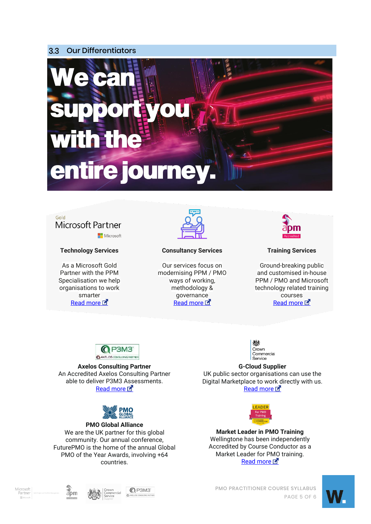#### $3.3$ Our Differentiators





## **Technology Services**

As a Microsoft Gold Partner with the PPM Specialisation we help organisations to work smarter Read more



### **Consultancy Services**

Our services focus on modernising PPM / PMO ways of working, methodology & governance [Read more](https://wellingtone.co.uk/consulting/) E



## **Training Services**

Ground-breaking public and customised in-house PPM / PMO and Microsoft technology related training courses [Read more](https://wellingtone.co.uk/training/) L



**Axelos Consulting Partner** An Accredited Axelos Consulting Partner able to deliver P3M3 Assessments. Read more



## **PMO Global Alliance** We are the UK partner for this global community. Our annual conference, FuturePMO is the home of the annual Global PMO of the Year Awards, involving +64 countries.



**G-Cloud Supplier** UK public sector organisations can use the Digital Marketplace to work directly with us. [Read more](https://www.digitalmarketplace.service.gov.uk/g-cloud/search?q=wellingtone&lot=cloud-support) L



**Market Leader in PMO Training** Wellingtone has been independently Accredited by Course Conductor as a Market Leader for PMO training. Read more

Microsoft<br>Partner